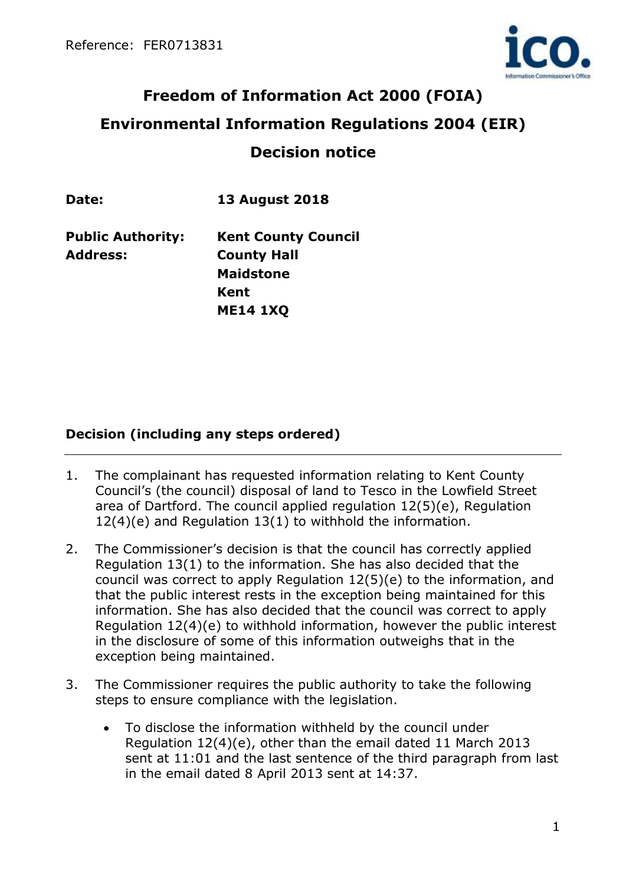

# **Freedom of Information Act 2000 (FOIA) Environmental Information Regulations 2004 (EIR) Decision notice**

**Date: 13 August 2018**

**Public Authority: Kent County Council Address: County Hall Maidstone Kent ME14 1XQ**

## **Decision (including any steps ordered)**

- 1. The complainant has requested information relating to Kent County Council's (the council) disposal of land to Tesco in the Lowfield Street area of Dartford. The council applied regulation 12(5)(e), Regulation 12(4)(e) and Regulation 13(1) to withhold the information.
- 2. The Commissioner's decision is that the council has correctly applied Regulation 13(1) to the information. She has also decided that the council was correct to apply Regulation 12(5)(e) to the information, and that the public interest rests in the exception being maintained for this information. She has also decided that the council was correct to apply Regulation 12(4)(e) to withhold information, however the public interest in the disclosure of some of this information outweighs that in the exception being maintained.
- 3. The Commissioner requires the public authority to take the following steps to ensure compliance with the legislation.
	- To disclose the information withheld by the council under Regulation 12(4)(e), other than the email dated 11 March 2013 sent at 11:01 and the last sentence of the third paragraph from last in the email dated 8 April 2013 sent at 14:37.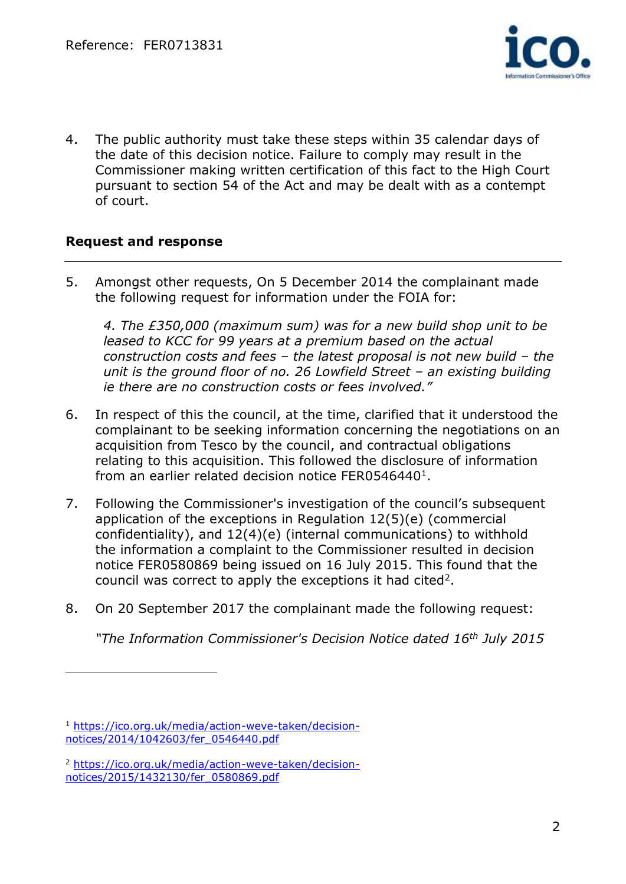

4. The public authority must take these steps within 35 calendar days of the date of this decision notice. Failure to comply may result in the Commissioner making written certification of this fact to the High Court pursuant to section 54 of the Act and may be dealt with as a contempt of court.

## **Request and response**

5. Amongst other requests, On 5 December 2014 the complainant made the following request for information under the FOIA for:

*4. The £350,000 (maximum sum) was for a new build shop unit to be leased to KCC for 99 years at a premium based on the actual construction costs and fees – the latest proposal is not new build – the unit is the ground floor of no. 26 Lowfield Street – an existing building ie there are no construction costs or fees involved."*

- 6. In respect of this the council, at the time, clarified that it understood the complainant to be seeking information concerning the negotiations on an acquisition from Tesco by the council, and contractual obligations relating to this acquisition. This followed the disclosure of information from an earlier related decision notice FER0546440<sup>1</sup>.
- 7. Following the Commissioner's investigation of the council's subsequent application of the exceptions in Regulation 12(5)(e) (commercial confidentiality), and 12(4)(e) (internal communications) to withhold the information a complaint to the Commissioner resulted in decision notice FER0580869 being issued on 16 July 2015. This found that the council was correct to apply the exceptions it had cited<sup>2</sup>.
- 8. On 20 September 2017 the complainant made the following request:

*"The Information Commissioner's Decision Notice dated 16th July 2015* 

 $\overline{a}$ 

<sup>1</sup> [https://ico.org.uk/media/action-weve-taken/decision](https://ico.org.uk/media/action-weve-taken/decision-notices/2014/1042603/fer_0546440.pdf)[notices/2014/1042603/fer\\_0546440.pdf](https://ico.org.uk/media/action-weve-taken/decision-notices/2014/1042603/fer_0546440.pdf)

<sup>2</sup> [https://ico.org.uk/media/action-weve-taken/decision](https://ico.org.uk/media/action-weve-taken/decision-notices/2015/1432130/fer_0580869.pdf)[notices/2015/1432130/fer\\_0580869.pdf](https://ico.org.uk/media/action-weve-taken/decision-notices/2015/1432130/fer_0580869.pdf)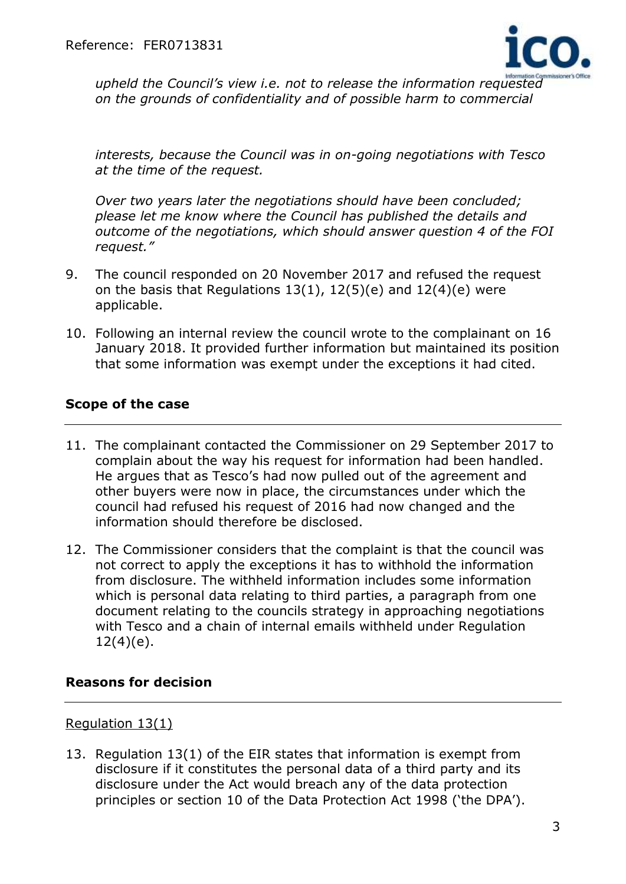

*upheld the Council's view i.e. not to release the information requested on the grounds of confidentiality and of possible harm to commercial* 

*interests, because the Council was in on-going negotiations with Tesco at the time of the request.*

*Over two years later the negotiations should have been concluded; please let me know where the Council has published the details and outcome of the negotiations, which should answer question 4 of the FOI request."*

- 9. The council responded on 20 November 2017 and refused the request on the basis that Regulations  $13(1)$ ,  $12(5)(e)$  and  $12(4)(e)$  were applicable.
- 10. Following an internal review the council wrote to the complainant on 16 January 2018. It provided further information but maintained its position that some information was exempt under the exceptions it had cited.

## **Scope of the case**

- 11. The complainant contacted the Commissioner on 29 September 2017 to complain about the way his request for information had been handled. He argues that as Tesco's had now pulled out of the agreement and other buyers were now in place, the circumstances under which the council had refused his request of 2016 had now changed and the information should therefore be disclosed.
- 12. The Commissioner considers that the complaint is that the council was not correct to apply the exceptions it has to withhold the information from disclosure. The withheld information includes some information which is personal data relating to third parties, a paragraph from one document relating to the councils strategy in approaching negotiations with Tesco and a chain of internal emails withheld under Regulation  $12(4)(e)$ .

## **Reasons for decision**

## Regulation 13(1)

13. Regulation 13(1) of the EIR states that information is exempt from disclosure if it constitutes the personal data of a third party and its disclosure under the Act would breach any of the data protection principles or section 10 of the Data Protection Act 1998 ('the DPA').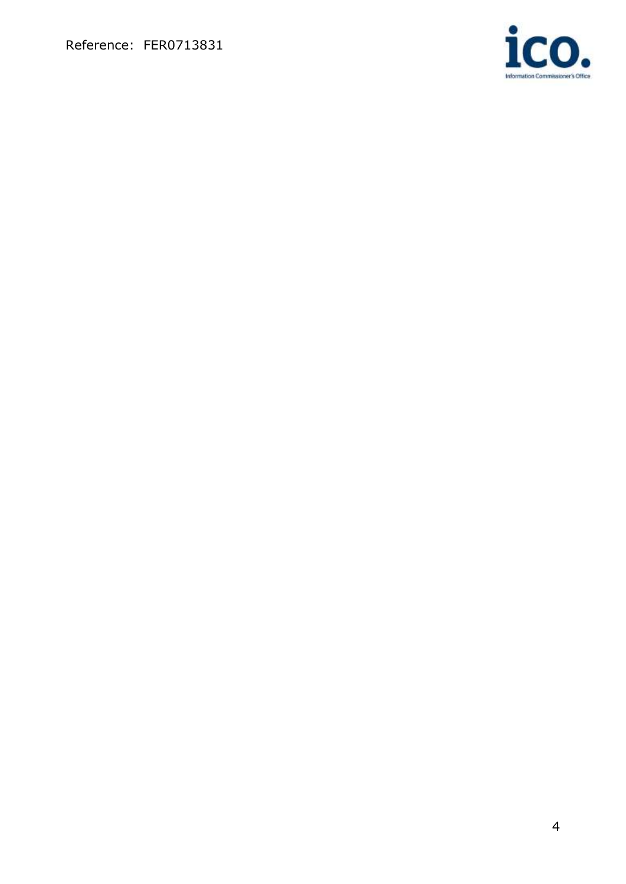Reference: FER0713831

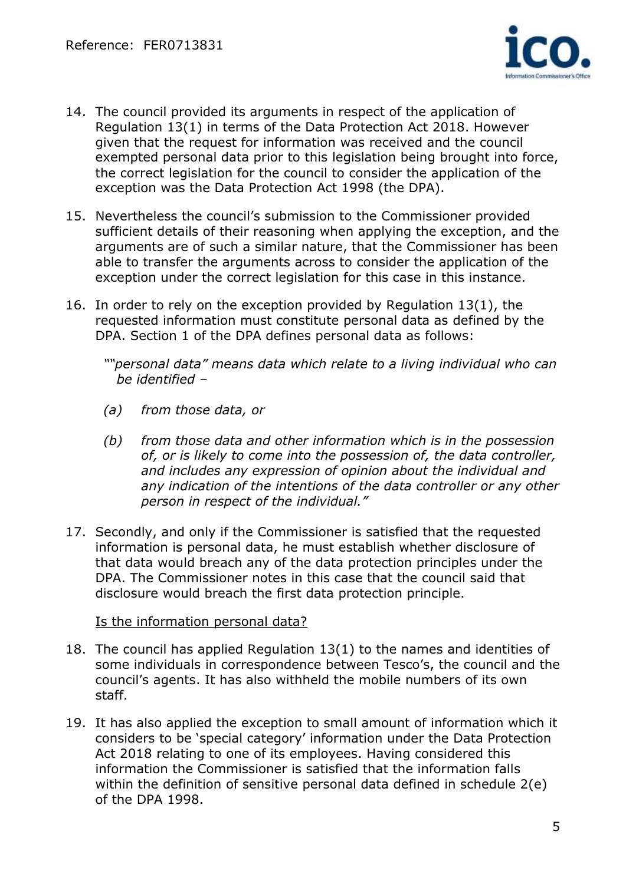

- 14. The council provided its arguments in respect of the application of Regulation 13(1) in terms of the Data Protection Act 2018. However given that the request for information was received and the council exempted personal data prior to this legislation being brought into force, the correct legislation for the council to consider the application of the exception was the Data Protection Act 1998 (the DPA).
- 15. Nevertheless the council's submission to the Commissioner provided sufficient details of their reasoning when applying the exception, and the arguments are of such a similar nature, that the Commissioner has been able to transfer the arguments across to consider the application of the exception under the correct legislation for this case in this instance.
- 16. In order to rely on the exception provided by Regulation 13(1), the requested information must constitute personal data as defined by the DPA. Section 1 of the DPA defines personal data as follows:

*""personal data" means data which relate to a living individual who can be identified –*

- *(a) from those data, or*
- *(b) from those data and other information which is in the possession of, or is likely to come into the possession of, the data controller, and includes any expression of opinion about the individual and any indication of the intentions of the data controller or any other person in respect of the individual."*
- 17. Secondly, and only if the Commissioner is satisfied that the requested information is personal data, he must establish whether disclosure of that data would breach any of the data protection principles under the DPA. The Commissioner notes in this case that the council said that disclosure would breach the first data protection principle.

## Is the information personal data?

- 18. The council has applied Regulation 13(1) to the names and identities of some individuals in correspondence between Tesco's, the council and the council's agents. It has also withheld the mobile numbers of its own staff.
- 19. It has also applied the exception to small amount of information which it considers to be 'special category' information under the Data Protection Act 2018 relating to one of its employees. Having considered this information the Commissioner is satisfied that the information falls within the definition of sensitive personal data defined in schedule 2(e) of the DPA 1998.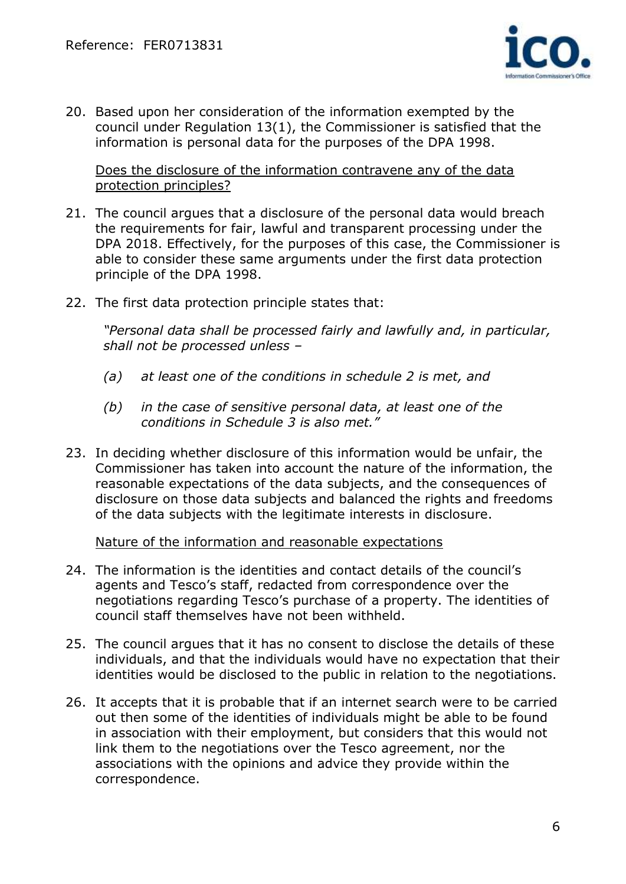

20. Based upon her consideration of the information exempted by the council under Regulation 13(1), the Commissioner is satisfied that the information is personal data for the purposes of the DPA 1998.

Does the disclosure of the information contravene any of the data protection principles?

- 21. The council argues that a disclosure of the personal data would breach the requirements for fair, lawful and transparent processing under the DPA 2018. Effectively, for the purposes of this case, the Commissioner is able to consider these same arguments under the first data protection principle of the DPA 1998.
- 22. The first data protection principle states that:

*"Personal data shall be processed fairly and lawfully and, in particular, shall not be processed unless –*

- *(a) at least one of the conditions in schedule 2 is met, and*
- *(b) in the case of sensitive personal data, at least one of the conditions in Schedule 3 is also met."*
- 23. In deciding whether disclosure of this information would be unfair, the Commissioner has taken into account the nature of the information, the reasonable expectations of the data subjects, and the consequences of disclosure on those data subjects and balanced the rights and freedoms of the data subjects with the legitimate interests in disclosure.

## Nature of the information and reasonable expectations

- 24. The information is the identities and contact details of the council's agents and Tesco's staff, redacted from correspondence over the negotiations regarding Tesco's purchase of a property. The identities of council staff themselves have not been withheld.
- 25. The council argues that it has no consent to disclose the details of these individuals, and that the individuals would have no expectation that their identities would be disclosed to the public in relation to the negotiations.
- 26. It accepts that it is probable that if an internet search were to be carried out then some of the identities of individuals might be able to be found in association with their employment, but considers that this would not link them to the negotiations over the Tesco agreement, nor the associations with the opinions and advice they provide within the correspondence.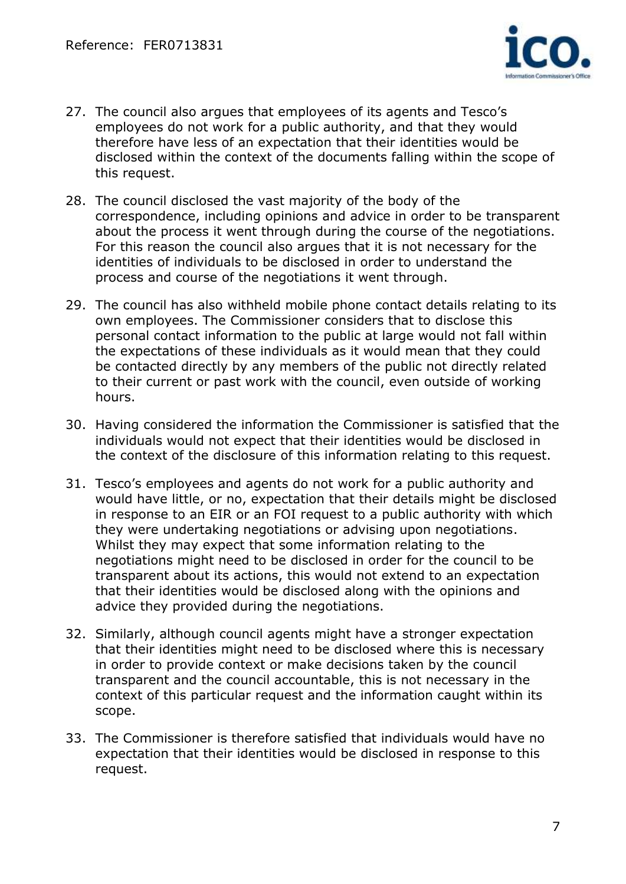

- 27. The council also argues that employees of its agents and Tesco's employees do not work for a public authority, and that they would therefore have less of an expectation that their identities would be disclosed within the context of the documents falling within the scope of this request.
- 28. The council disclosed the vast majority of the body of the correspondence, including opinions and advice in order to be transparent about the process it went through during the course of the negotiations. For this reason the council also argues that it is not necessary for the identities of individuals to be disclosed in order to understand the process and course of the negotiations it went through.
- 29. The council has also withheld mobile phone contact details relating to its own employees. The Commissioner considers that to disclose this personal contact information to the public at large would not fall within the expectations of these individuals as it would mean that they could be contacted directly by any members of the public not directly related to their current or past work with the council, even outside of working hours.
- 30. Having considered the information the Commissioner is satisfied that the individuals would not expect that their identities would be disclosed in the context of the disclosure of this information relating to this request.
- 31. Tesco's employees and agents do not work for a public authority and would have little, or no, expectation that their details might be disclosed in response to an EIR or an FOI request to a public authority with which they were undertaking negotiations or advising upon negotiations. Whilst they may expect that some information relating to the negotiations might need to be disclosed in order for the council to be transparent about its actions, this would not extend to an expectation that their identities would be disclosed along with the opinions and advice they provided during the negotiations.
- 32. Similarly, although council agents might have a stronger expectation that their identities might need to be disclosed where this is necessary in order to provide context or make decisions taken by the council transparent and the council accountable, this is not necessary in the context of this particular request and the information caught within its scope.
- 33. The Commissioner is therefore satisfied that individuals would have no expectation that their identities would be disclosed in response to this request.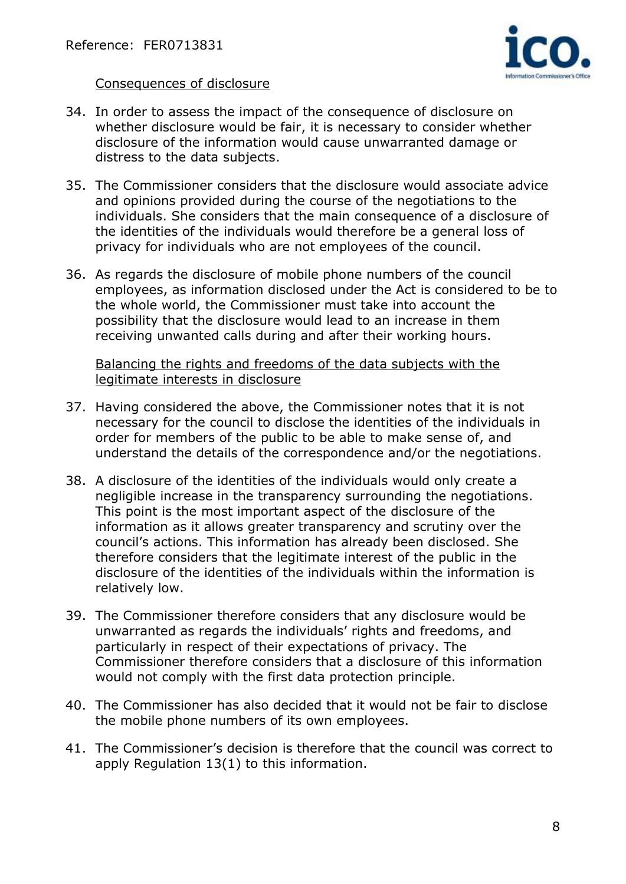

#### Consequences of disclosure

- 34. In order to assess the impact of the consequence of disclosure on whether disclosure would be fair, it is necessary to consider whether disclosure of the information would cause unwarranted damage or distress to the data subjects.
- 35. The Commissioner considers that the disclosure would associate advice and opinions provided during the course of the negotiations to the individuals. She considers that the main consequence of a disclosure of the identities of the individuals would therefore be a general loss of privacy for individuals who are not employees of the council.
- 36. As regards the disclosure of mobile phone numbers of the council employees, as information disclosed under the Act is considered to be to the whole world, the Commissioner must take into account the possibility that the disclosure would lead to an increase in them receiving unwanted calls during and after their working hours.

Balancing the rights and freedoms of the data subjects with the legitimate interests in disclosure

- 37. Having considered the above, the Commissioner notes that it is not necessary for the council to disclose the identities of the individuals in order for members of the public to be able to make sense of, and understand the details of the correspondence and/or the negotiations.
- 38. A disclosure of the identities of the individuals would only create a negligible increase in the transparency surrounding the negotiations. This point is the most important aspect of the disclosure of the information as it allows greater transparency and scrutiny over the council's actions. This information has already been disclosed. She therefore considers that the legitimate interest of the public in the disclosure of the identities of the individuals within the information is relatively low.
- 39. The Commissioner therefore considers that any disclosure would be unwarranted as regards the individuals' rights and freedoms, and particularly in respect of their expectations of privacy. The Commissioner therefore considers that a disclosure of this information would not comply with the first data protection principle.
- 40. The Commissioner has also decided that it would not be fair to disclose the mobile phone numbers of its own employees.
- 41. The Commissioner's decision is therefore that the council was correct to apply Regulation 13(1) to this information.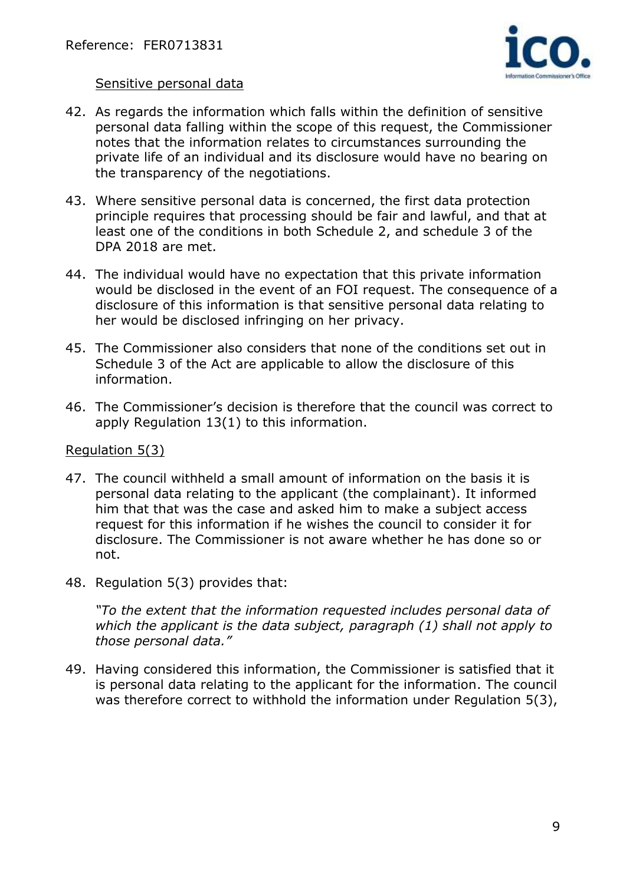

## Sensitive personal data

- 42. As regards the information which falls within the definition of sensitive personal data falling within the scope of this request, the Commissioner notes that the information relates to circumstances surrounding the private life of an individual and its disclosure would have no bearing on the transparency of the negotiations.
- 43. Where sensitive personal data is concerned, the first data protection principle requires that processing should be fair and lawful, and that at least one of the conditions in both Schedule 2, and schedule 3 of the DPA 2018 are met.
- 44. The individual would have no expectation that this private information would be disclosed in the event of an FOI request. The consequence of a disclosure of this information is that sensitive personal data relating to her would be disclosed infringing on her privacy.
- 45. The Commissioner also considers that none of the conditions set out in Schedule 3 of the Act are applicable to allow the disclosure of this information.
- 46. The Commissioner's decision is therefore that the council was correct to apply Regulation 13(1) to this information.

## Regulation 5(3)

- 47. The council withheld a small amount of information on the basis it is personal data relating to the applicant (the complainant). It informed him that that was the case and asked him to make a subject access request for this information if he wishes the council to consider it for disclosure. The Commissioner is not aware whether he has done so or not.
- 48. Regulation 5(3) provides that:

*"To the extent that the information requested includes personal data of which the applicant is the data subject, paragraph (1) shall not apply to those personal data."*

49. Having considered this information, the Commissioner is satisfied that it is personal data relating to the applicant for the information. The council was therefore correct to withhold the information under Regulation 5(3),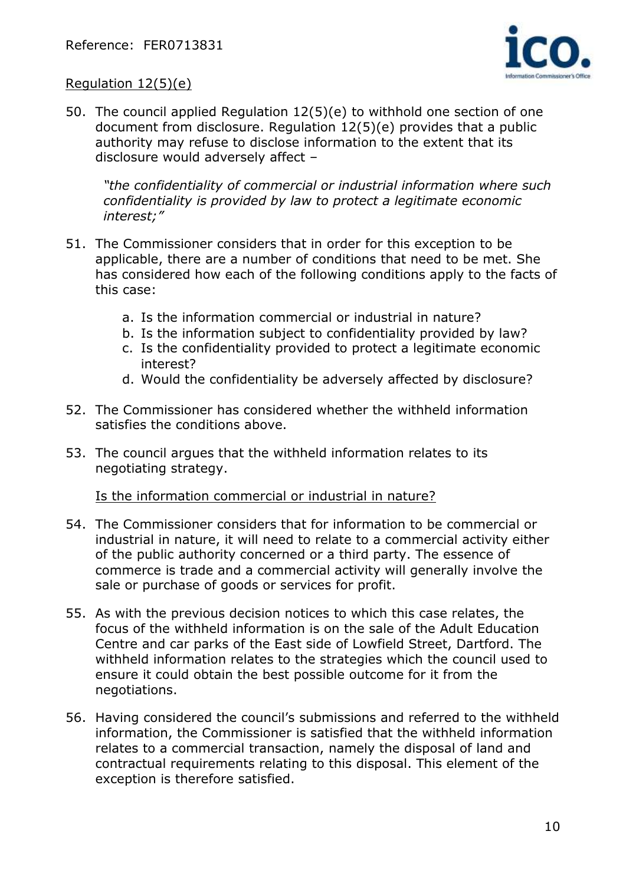

## Regulation 12(5)(e)

50. The council applied Regulation 12(5)(e) to withhold one section of one document from disclosure. Regulation 12(5)(e) provides that a public authority may refuse to disclose information to the extent that its disclosure would adversely affect –

*"the confidentiality of commercial or industrial information where such confidentiality is provided by law to protect a legitimate economic interest;"*

- 51. The Commissioner considers that in order for this exception to be applicable, there are a number of conditions that need to be met. She has considered how each of the following conditions apply to the facts of this case:
	- a. Is the information commercial or industrial in nature?
	- b. Is the information subject to confidentiality provided by law?
	- c. Is the confidentiality provided to protect a legitimate economic interest?
	- d. Would the confidentiality be adversely affected by disclosure?
- 52. The Commissioner has considered whether the withheld information satisfies the conditions above.
- 53. The council argues that the withheld information relates to its negotiating strategy.

Is the information commercial or industrial in nature?

- 54. The Commissioner considers that for information to be commercial or industrial in nature, it will need to relate to a commercial activity either of the public authority concerned or a third party. The essence of commerce is trade and a commercial activity will generally involve the sale or purchase of goods or services for profit.
- 55. As with the previous decision notices to which this case relates, the focus of the withheld information is on the sale of the Adult Education Centre and car parks of the East side of Lowfield Street, Dartford. The withheld information relates to the strategies which the council used to ensure it could obtain the best possible outcome for it from the negotiations.
- 56. Having considered the council's submissions and referred to the withheld information, the Commissioner is satisfied that the withheld information relates to a commercial transaction, namely the disposal of land and contractual requirements relating to this disposal. This element of the exception is therefore satisfied.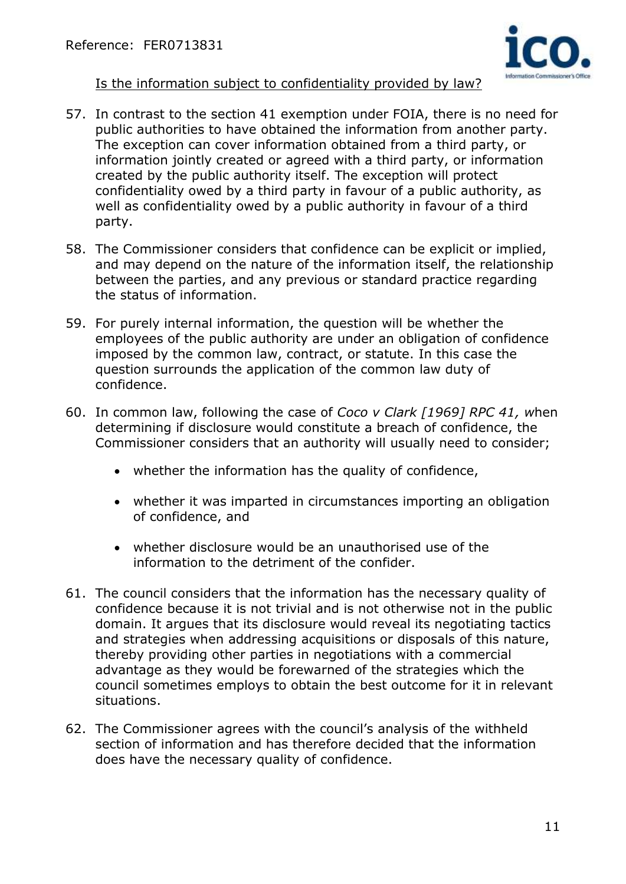

## Is the information subject to confidentiality provided by law?

- 57. In contrast to the section 41 exemption under FOIA, there is no need for public authorities to have obtained the information from another party. The exception can cover information obtained from a third party, or information jointly created or agreed with a third party, or information created by the public authority itself. The exception will protect confidentiality owed by a third party in favour of a public authority, as well as confidentiality owed by a public authority in favour of a third party.
- 58. The Commissioner considers that confidence can be explicit or implied, and may depend on the nature of the information itself, the relationship between the parties, and any previous or standard practice regarding the status of information.
- 59. For purely internal information, the question will be whether the employees of the public authority are under an obligation of confidence imposed by the common law, contract, or statute. In this case the question surrounds the application of the common law duty of confidence.
- 60. In common law, following the case of *Coco v Clark [1969] RPC 41, w*hen determining if disclosure would constitute a breach of confidence, the Commissioner considers that an authority will usually need to consider;
	- whether the information has the quality of confidence,
	- whether it was imparted in circumstances importing an obligation of confidence, and
	- whether disclosure would be an unauthorised use of the information to the detriment of the confider.
- 61. The council considers that the information has the necessary quality of confidence because it is not trivial and is not otherwise not in the public domain. It argues that its disclosure would reveal its negotiating tactics and strategies when addressing acquisitions or disposals of this nature, thereby providing other parties in negotiations with a commercial advantage as they would be forewarned of the strategies which the council sometimes employs to obtain the best outcome for it in relevant situations.
- 62. The Commissioner agrees with the council's analysis of the withheld section of information and has therefore decided that the information does have the necessary quality of confidence.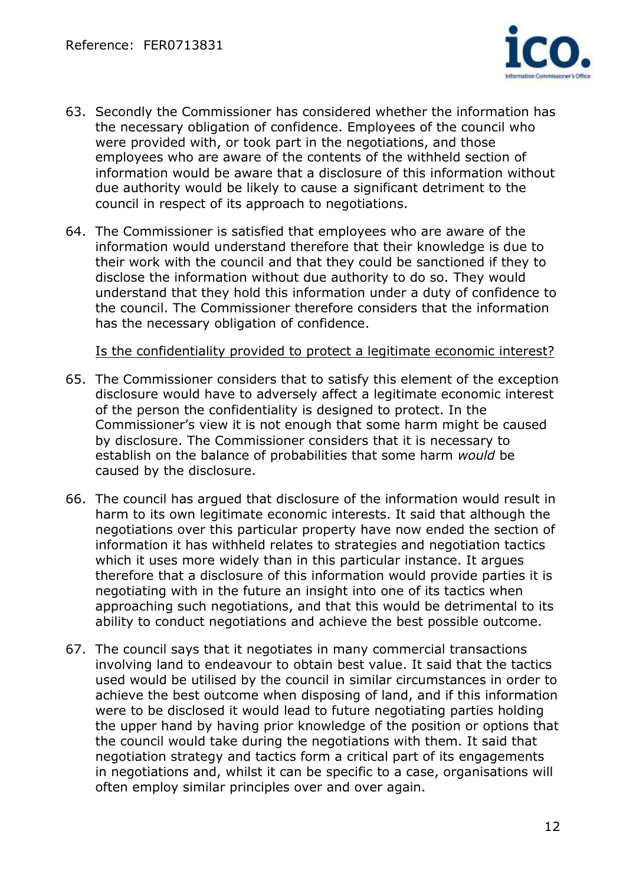

- 63. Secondly the Commissioner has considered whether the information has the necessary obligation of confidence. Employees of the council who were provided with, or took part in the negotiations, and those employees who are aware of the contents of the withheld section of information would be aware that a disclosure of this information without due authority would be likely to cause a significant detriment to the council in respect of its approach to negotiations.
- 64. The Commissioner is satisfied that employees who are aware of the information would understand therefore that their knowledge is due to their work with the council and that they could be sanctioned if they to disclose the information without due authority to do so. They would understand that they hold this information under a duty of confidence to the council. The Commissioner therefore considers that the information has the necessary obligation of confidence.

Is the confidentiality provided to protect a legitimate economic interest?

- 65. The Commissioner considers that to satisfy this element of the exception disclosure would have to adversely affect a legitimate economic interest of the person the confidentiality is designed to protect. In the Commissioner's view it is not enough that some harm might be caused by disclosure. The Commissioner considers that it is necessary to establish on the balance of probabilities that some harm *would* be caused by the disclosure.
- 66. The council has argued that disclosure of the information would result in harm to its own legitimate economic interests. It said that although the negotiations over this particular property have now ended the section of information it has withheld relates to strategies and negotiation tactics which it uses more widely than in this particular instance. It argues therefore that a disclosure of this information would provide parties it is negotiating with in the future an insight into one of its tactics when approaching such negotiations, and that this would be detrimental to its ability to conduct negotiations and achieve the best possible outcome.
- 67. The council says that it negotiates in many commercial transactions involving land to endeavour to obtain best value. It said that the tactics used would be utilised by the council in similar circumstances in order to achieve the best outcome when disposing of land, and if this information were to be disclosed it would lead to future negotiating parties holding the upper hand by having prior knowledge of the position or options that the council would take during the negotiations with them. It said that negotiation strategy and tactics form a critical part of its engagements in negotiations and, whilst it can be specific to a case, organisations will often employ similar principles over and over again.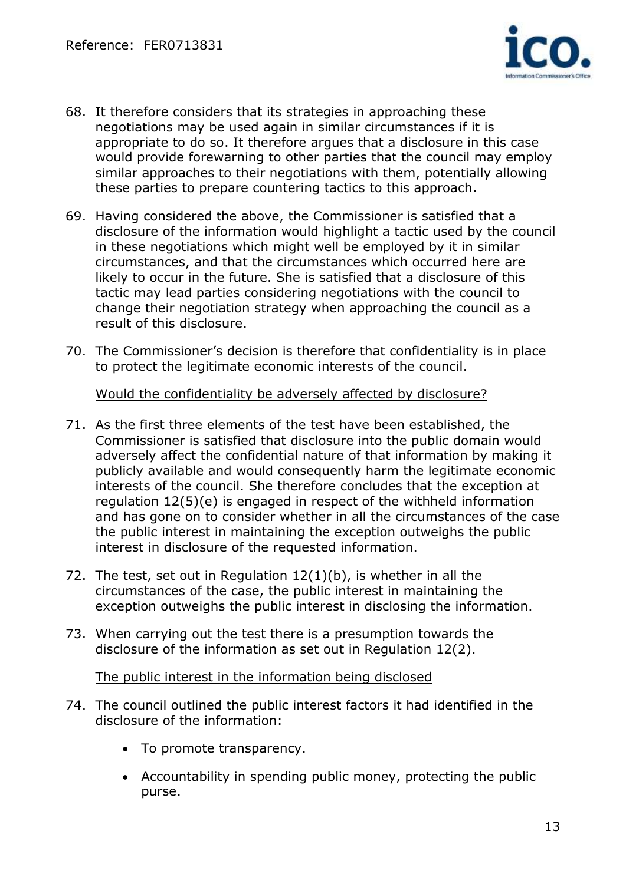

- 68. It therefore considers that its strategies in approaching these negotiations may be used again in similar circumstances if it is appropriate to do so. It therefore argues that a disclosure in this case would provide forewarning to other parties that the council may employ similar approaches to their negotiations with them, potentially allowing these parties to prepare countering tactics to this approach.
- 69. Having considered the above, the Commissioner is satisfied that a disclosure of the information would highlight a tactic used by the council in these negotiations which might well be employed by it in similar circumstances, and that the circumstances which occurred here are likely to occur in the future. She is satisfied that a disclosure of this tactic may lead parties considering negotiations with the council to change their negotiation strategy when approaching the council as a result of this disclosure.
- 70. The Commissioner's decision is therefore that confidentiality is in place to protect the legitimate economic interests of the council.

Would the confidentiality be adversely affected by disclosure?

- 71. As the first three elements of the test have been established, the Commissioner is satisfied that disclosure into the public domain would adversely affect the confidential nature of that information by making it publicly available and would consequently harm the legitimate economic interests of the council. She therefore concludes that the exception at regulation 12(5)(e) is engaged in respect of the withheld information and has gone on to consider whether in all the circumstances of the case the public interest in maintaining the exception outweighs the public interest in disclosure of the requested information.
- 72. The test, set out in Regulation 12(1)(b), is whether in all the circumstances of the case, the public interest in maintaining the exception outweighs the public interest in disclosing the information.
- 73. When carrying out the test there is a presumption towards the disclosure of the information as set out in Regulation 12(2).

#### The public interest in the information being disclosed

- 74. The council outlined the public interest factors it had identified in the disclosure of the information:
	- To promote transparency.
	- Accountability in spending public money, protecting the public purse.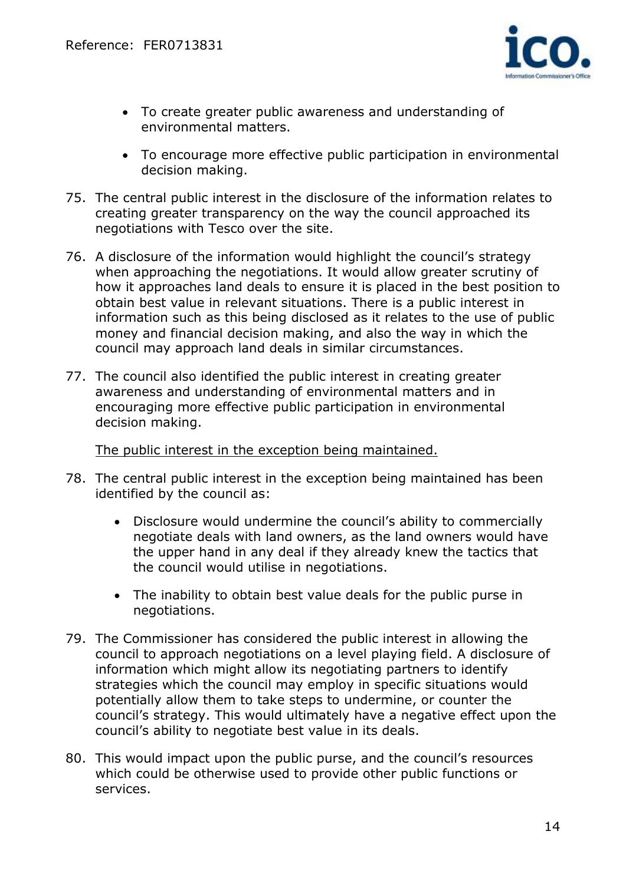

- To create greater public awareness and understanding of environmental matters.
- To encourage more effective public participation in environmental decision making.
- 75. The central public interest in the disclosure of the information relates to creating greater transparency on the way the council approached its negotiations with Tesco over the site.
- 76. A disclosure of the information would highlight the council's strategy when approaching the negotiations. It would allow greater scrutiny of how it approaches land deals to ensure it is placed in the best position to obtain best value in relevant situations. There is a public interest in information such as this being disclosed as it relates to the use of public money and financial decision making, and also the way in which the council may approach land deals in similar circumstances.
- 77. The council also identified the public interest in creating greater awareness and understanding of environmental matters and in encouraging more effective public participation in environmental decision making.

The public interest in the exception being maintained.

- 78. The central public interest in the exception being maintained has been identified by the council as:
	- Disclosure would undermine the council's ability to commercially negotiate deals with land owners, as the land owners would have the upper hand in any deal if they already knew the tactics that the council would utilise in negotiations.
	- The inability to obtain best value deals for the public purse in negotiations.
- 79. The Commissioner has considered the public interest in allowing the council to approach negotiations on a level playing field. A disclosure of information which might allow its negotiating partners to identify strategies which the council may employ in specific situations would potentially allow them to take steps to undermine, or counter the council's strategy. This would ultimately have a negative effect upon the council's ability to negotiate best value in its deals.
- 80. This would impact upon the public purse, and the council's resources which could be otherwise used to provide other public functions or services.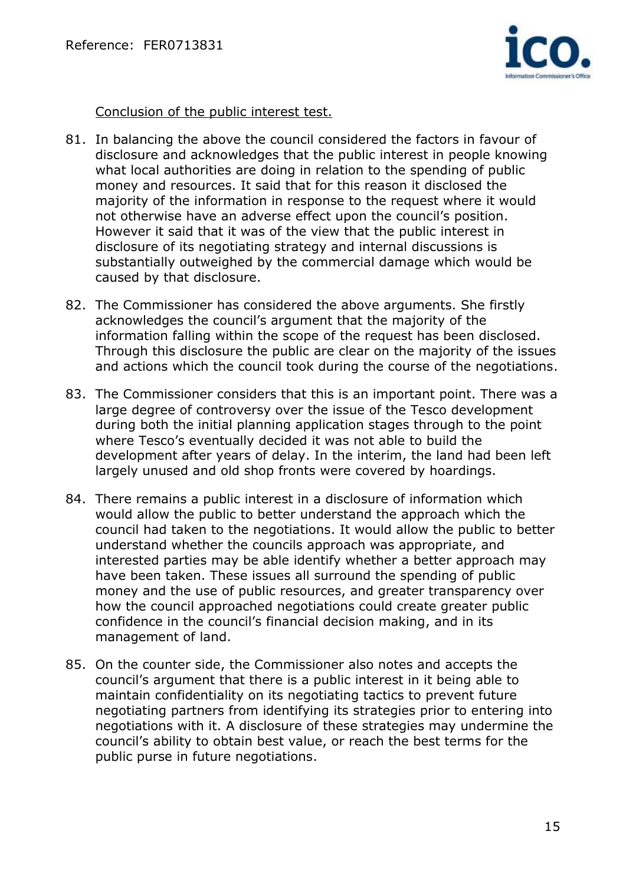

#### Conclusion of the public interest test.

- 81. In balancing the above the council considered the factors in favour of disclosure and acknowledges that the public interest in people knowing what local authorities are doing in relation to the spending of public money and resources. It said that for this reason it disclosed the majority of the information in response to the request where it would not otherwise have an adverse effect upon the council's position. However it said that it was of the view that the public interest in disclosure of its negotiating strategy and internal discussions is substantially outweighed by the commercial damage which would be caused by that disclosure.
- 82. The Commissioner has considered the above arguments. She firstly acknowledges the council's argument that the majority of the information falling within the scope of the request has been disclosed. Through this disclosure the public are clear on the majority of the issues and actions which the council took during the course of the negotiations.
- 83. The Commissioner considers that this is an important point. There was a large degree of controversy over the issue of the Tesco development during both the initial planning application stages through to the point where Tesco's eventually decided it was not able to build the development after years of delay. In the interim, the land had been left largely unused and old shop fronts were covered by hoardings.
- 84. There remains a public interest in a disclosure of information which would allow the public to better understand the approach which the council had taken to the negotiations. It would allow the public to better understand whether the councils approach was appropriate, and interested parties may be able identify whether a better approach may have been taken. These issues all surround the spending of public money and the use of public resources, and greater transparency over how the council approached negotiations could create greater public confidence in the council's financial decision making, and in its management of land.
- 85. On the counter side, the Commissioner also notes and accepts the council's argument that there is a public interest in it being able to maintain confidentiality on its negotiating tactics to prevent future negotiating partners from identifying its strategies prior to entering into negotiations with it. A disclosure of these strategies may undermine the council's ability to obtain best value, or reach the best terms for the public purse in future negotiations.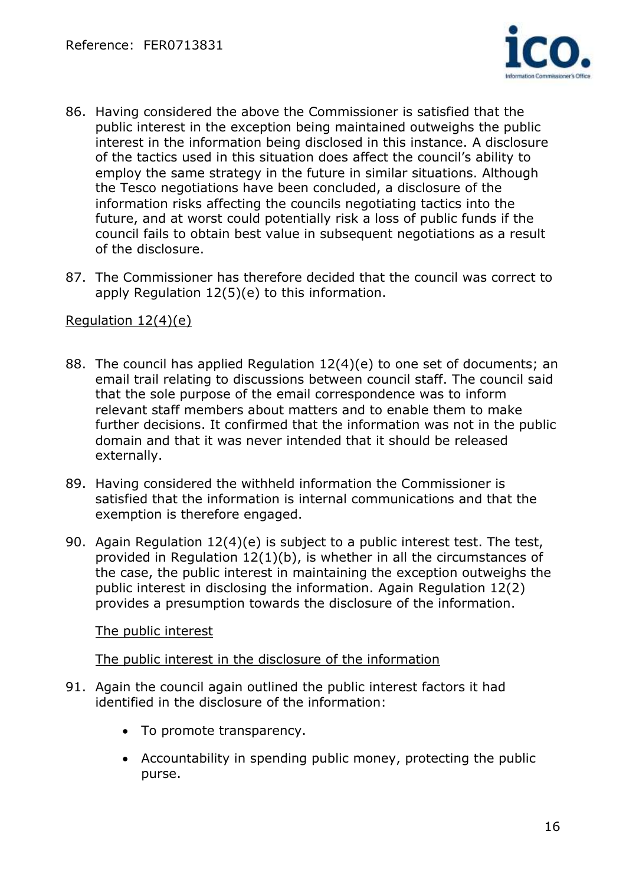

- 86. Having considered the above the Commissioner is satisfied that the public interest in the exception being maintained outweighs the public interest in the information being disclosed in this instance. A disclosure of the tactics used in this situation does affect the council's ability to employ the same strategy in the future in similar situations. Although the Tesco negotiations have been concluded, a disclosure of the information risks affecting the councils negotiating tactics into the future, and at worst could potentially risk a loss of public funds if the council fails to obtain best value in subsequent negotiations as a result of the disclosure.
- 87. The Commissioner has therefore decided that the council was correct to apply Regulation 12(5)(e) to this information.

## Regulation 12(4)(e)

- 88. The council has applied Regulation 12(4)(e) to one set of documents; an email trail relating to discussions between council staff. The council said that the sole purpose of the email correspondence was to inform relevant staff members about matters and to enable them to make further decisions. It confirmed that the information was not in the public domain and that it was never intended that it should be released externally.
- 89. Having considered the withheld information the Commissioner is satisfied that the information is internal communications and that the exemption is therefore engaged.
- 90. Again Regulation 12(4)(e) is subject to a public interest test. The test, provided in Regulation 12(1)(b), is whether in all the circumstances of the case, the public interest in maintaining the exception outweighs the public interest in disclosing the information. Again Regulation 12(2) provides a presumption towards the disclosure of the information.

## The public interest

## The public interest in the disclosure of the information

- 91. Again the council again outlined the public interest factors it had identified in the disclosure of the information:
	- To promote transparency.
	- Accountability in spending public money, protecting the public purse.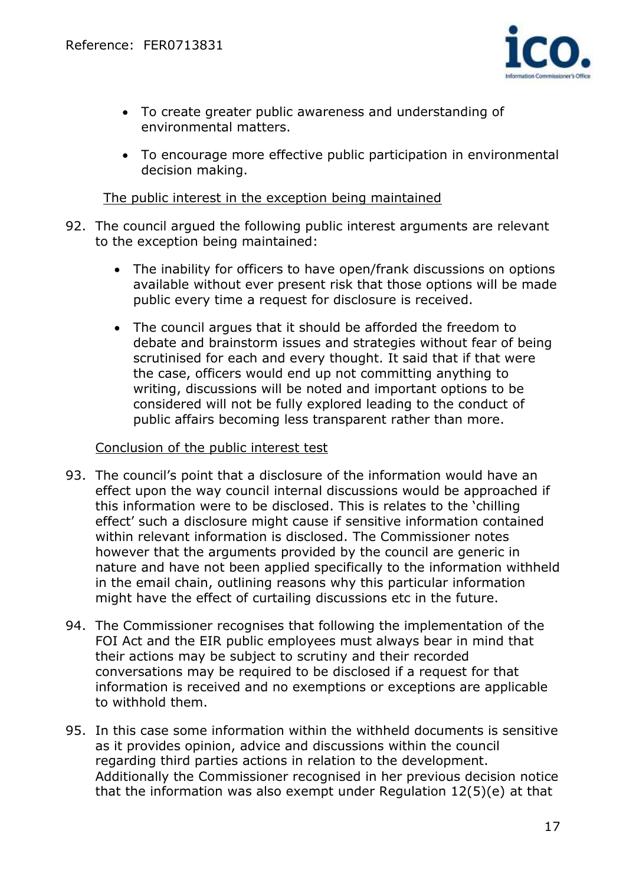

- To create greater public awareness and understanding of environmental matters.
- To encourage more effective public participation in environmental decision making.

## The public interest in the exception being maintained

- 92. The council argued the following public interest arguments are relevant to the exception being maintained:
	- The inability for officers to have open/frank discussions on options available without ever present risk that those options will be made public every time a request for disclosure is received.
	- The council argues that it should be afforded the freedom to debate and brainstorm issues and strategies without fear of being scrutinised for each and every thought. It said that if that were the case, officers would end up not committing anything to writing, discussions will be noted and important options to be considered will not be fully explored leading to the conduct of public affairs becoming less transparent rather than more.

## Conclusion of the public interest test

- 93. The council's point that a disclosure of the information would have an effect upon the way council internal discussions would be approached if this information were to be disclosed. This is relates to the 'chilling effect' such a disclosure might cause if sensitive information contained within relevant information is disclosed. The Commissioner notes however that the arguments provided by the council are generic in nature and have not been applied specifically to the information withheld in the email chain, outlining reasons why this particular information might have the effect of curtailing discussions etc in the future.
- 94. The Commissioner recognises that following the implementation of the FOI Act and the EIR public employees must always bear in mind that their actions may be subject to scrutiny and their recorded conversations may be required to be disclosed if a request for that information is received and no exemptions or exceptions are applicable to withhold them.
- 95. In this case some information within the withheld documents is sensitive as it provides opinion, advice and discussions within the council regarding third parties actions in relation to the development. Additionally the Commissioner recognised in her previous decision notice that the information was also exempt under Regulation 12(5)(e) at that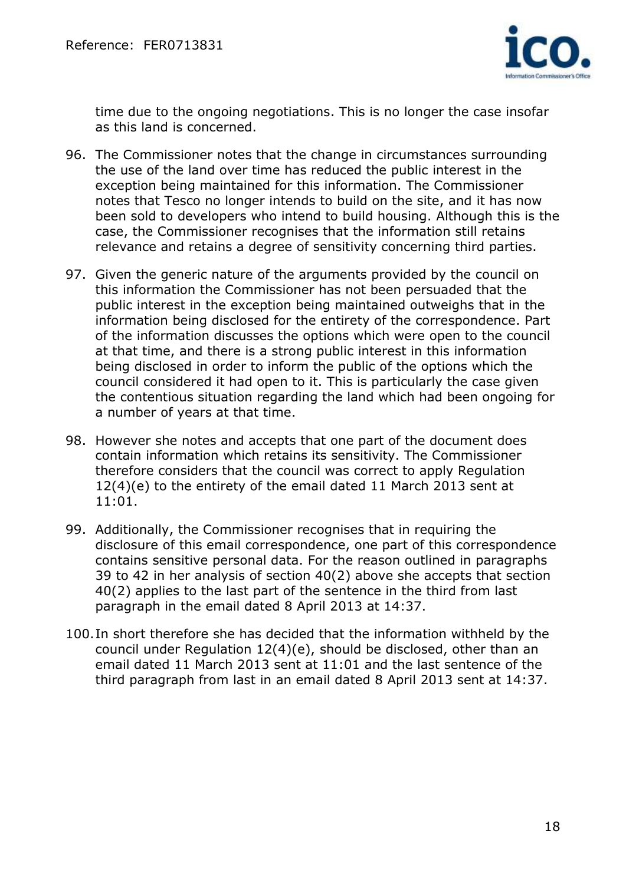

time due to the ongoing negotiations. This is no longer the case insofar as this land is concerned.

- 96. The Commissioner notes that the change in circumstances surrounding the use of the land over time has reduced the public interest in the exception being maintained for this information. The Commissioner notes that Tesco no longer intends to build on the site, and it has now been sold to developers who intend to build housing. Although this is the case, the Commissioner recognises that the information still retains relevance and retains a degree of sensitivity concerning third parties.
- 97. Given the generic nature of the arguments provided by the council on this information the Commissioner has not been persuaded that the public interest in the exception being maintained outweighs that in the information being disclosed for the entirety of the correspondence. Part of the information discusses the options which were open to the council at that time, and there is a strong public interest in this information being disclosed in order to inform the public of the options which the council considered it had open to it. This is particularly the case given the contentious situation regarding the land which had been ongoing for a number of years at that time.
- 98. However she notes and accepts that one part of the document does contain information which retains its sensitivity. The Commissioner therefore considers that the council was correct to apply Regulation 12(4)(e) to the entirety of the email dated 11 March 2013 sent at 11:01.
- 99. Additionally, the Commissioner recognises that in requiring the disclosure of this email correspondence, one part of this correspondence contains sensitive personal data. For the reason outlined in paragraphs 39 to 42 in her analysis of section 40(2) above she accepts that section 40(2) applies to the last part of the sentence in the third from last paragraph in the email dated 8 April 2013 at 14:37.
- 100.In short therefore she has decided that the information withheld by the council under Regulation 12(4)(e), should be disclosed, other than an email dated 11 March 2013 sent at 11:01 and the last sentence of the third paragraph from last in an email dated 8 April 2013 sent at 14:37.